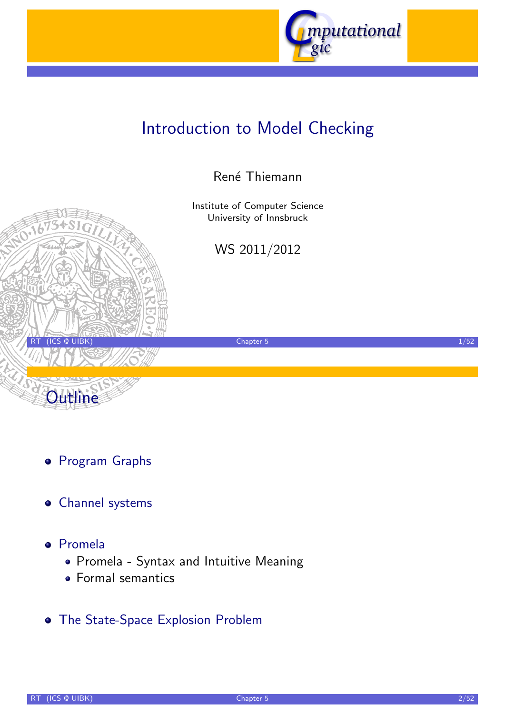

# Introduction to Model Checking

### René Thiemann

Institute of Computer Science University of Innsbruck

WS 2011/2012

RT (ICS @ UIBK) 2002 1/52



- Channel systems
- [Prom](#page-2-0)ela

**Outline** 

- [Promela Syntax and Intuiti](http://cl-informatik.uibk.ac.at/teaching/ws10/imc)ve Meaning
- [Fo](#page-7-0)rmal semantics
- **[The State-Space](#page-16-0)[Explo](#page-16-0)[sio](http://informatik.uibk.ac.at/)n Problem**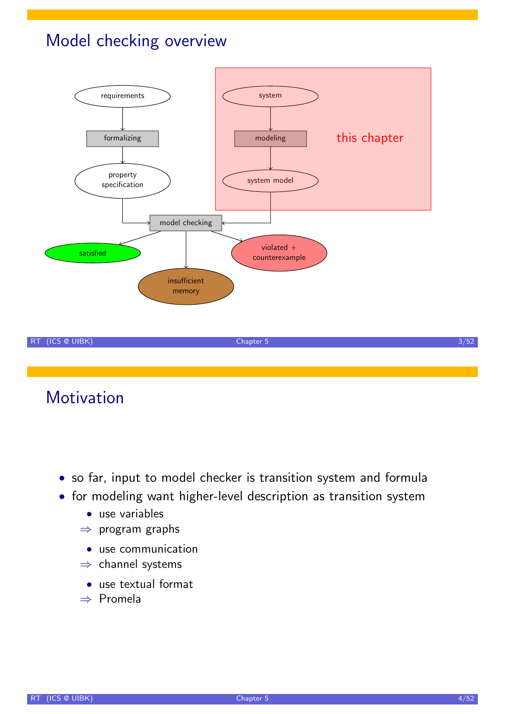# Model checking overview



Motivation

- so far, input to model checker is transition system and formula
- for modeling want higher-level description as transition system
	- use variables
	- $\Rightarrow$  program graphs
		- use communication
	- ⇒ channel systems
		- use textual format
	- ⇒ Promela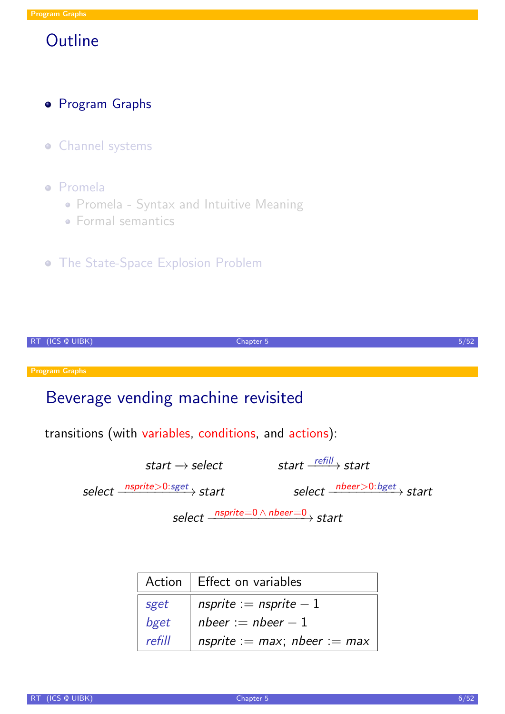### **·** Program Graphs

- **·** Channel systems
- Promela
	- Promela Syntax and Intuitive Meaning
	- Formal semantics
- **The State-Space Explosion Problem**

| -RT | (ICS @ UIBK)                                                  | Chapter 5 |                                                        | 5/52 |
|-----|---------------------------------------------------------------|-----------|--------------------------------------------------------|------|
|     |                                                               |           |                                                        |      |
|     | <b>Program Graphs</b>                                         |           |                                                        |      |
|     | Beverage vending machine revisited                            |           |                                                        |      |
|     | transitions (with variables, conditions, and actions):        |           |                                                        |      |
|     | start $\rightarrow$ select                                    |           | start $\xrightarrow{refill}$ start                     |      |
|     | select $\frac{\text{nsprite} > 0: \text{sget}}{\text{start}}$ |           | select $\frac{n\text{beer} > 0: \text{bget}}{n}$ start |      |
|     |                                                               |           | select $\frac{nsprice=0 \wedge nbeer=0}{sstart}$       |      |
|     |                                                               |           |                                                        |      |
|     |                                                               |           |                                                        |      |

<span id="page-2-0"></span>

|        | Action   Effect on variables      |  |  |
|--------|-----------------------------------|--|--|
| sget   | nsprite := nsprite $-1$           |  |  |
| bget   | nbeer := nbeer $-1$               |  |  |
| refill | nsprite := $max$ ; nbeer := $max$ |  |  |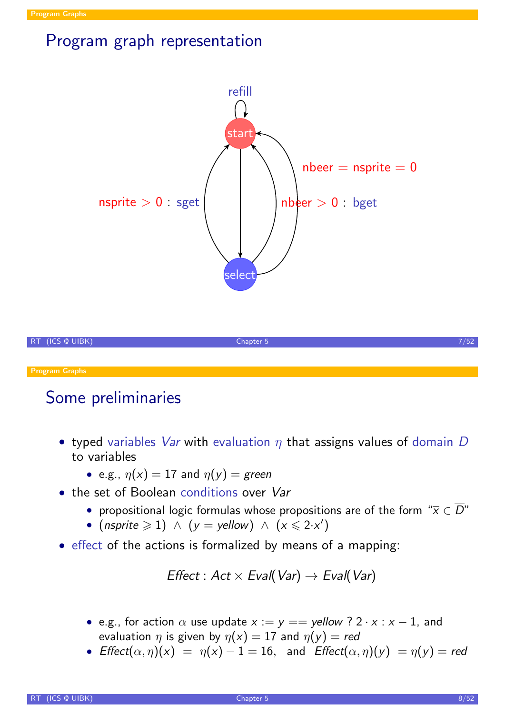## Program graph representation



## Some preliminaries

- typed variables *Var* with evaluation  $\eta$  that assigns values of domain D to variables
	- e.g.,  $\eta(x) = 17$  and  $\eta(y) =$  green
- the set of Boolean conditions over Var
	- propositional logic formulas whose propositions are of the form " $\overline{x} \in \overline{D}$ "
	- (nsprite  $\geqslant$  1)  $\wedge$  (y = yellow)  $\wedge$  (x  $\leqslant$  2·x')
- effect of the actions is formalized by means of a mapping:

$$
\textit{Effect}: Act \times \textit{Eval}(\textit{Var}) \rightarrow \textit{Eval}(\textit{Var})
$$

- e.g., for action  $\alpha$  use update  $x := y ==$  yellow ?  $2 \cdot x : x 1$ , and evaluation  $\eta$  is given by  $\eta(x) = 17$  and  $\eta(y) = red$
- Effect $(\alpha, \eta)(x) = \eta(x) 1 = 16$ , and Effect $(\alpha, \eta)(y) = \eta(y) =$ red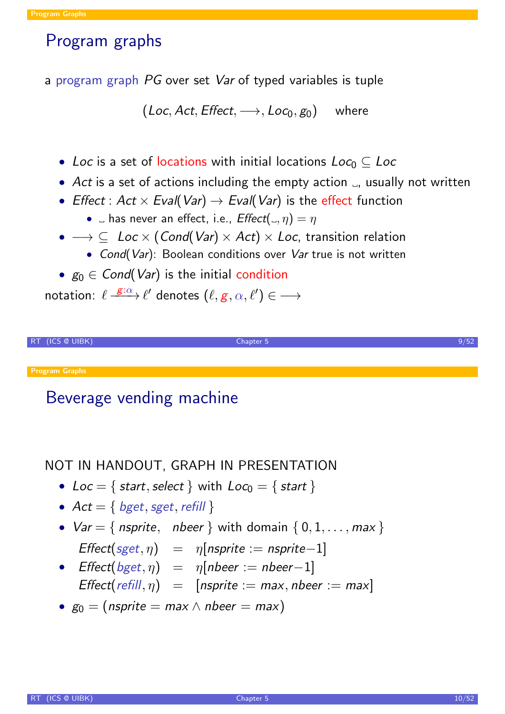## Program graphs

a program graph PG over set Var of typed variables is tuple

 $(\mathcal{L}oc,\mathcal{A}ct,\mathit{Effect},\longrightarrow,\mathcal{L}oc_0,g_0)$  where

- Loc is a set of locations with initial locations  $Loc_0 \subset Loc$
- Act is a set of actions including the empty action  $\Box$ , usually not written
- Effect : Act  $\times$  Eval(Var)  $\rightarrow$  Eval(Var) is the effect function
	- $\Box$  has never an effect, i.e.,  $Effect(\Box, \eta) = \eta$
- $\rightarrow \subseteq$  Loc  $\times$  (Cond(Var)  $\times$  Act)  $\times$  Loc, transition relation
	- Cond(Var): Boolean conditions over Var true is not written
- $g_0 \in Cond(Var)$  is the initial condition

notation:  $\ell \stackrel{\mathcal{E}: \alpha}{\longrightarrow} \ell'$  denotes  $(\ell, g, \alpha, \ell') \in \longrightarrow$ 



Program Graphs

## Beverage vending machine

#### NOT IN HANDOUT, GRAPH IN PRESENTATION

- Loc = { start, select } with  $Loc_0 = \{ start \}$
- $Act = \{ bget, sget, refill \}$
- $Var = \{$  nsprite, nbeer  $\}$  with domain  $\{0, 1, \ldots, max\}$

$$
Effect(sget, \eta) = \eta[nsprite := nsprite - 1]
$$

- Effect(bget,  $\eta$ ) =  $\eta$ [nbeer := nbeer-1] Effect(refill,  $\eta$ ) = [nsprite := max, nbeer := max]
- $g_0 = (n$ sprite = max  $\land$  nbeer = max)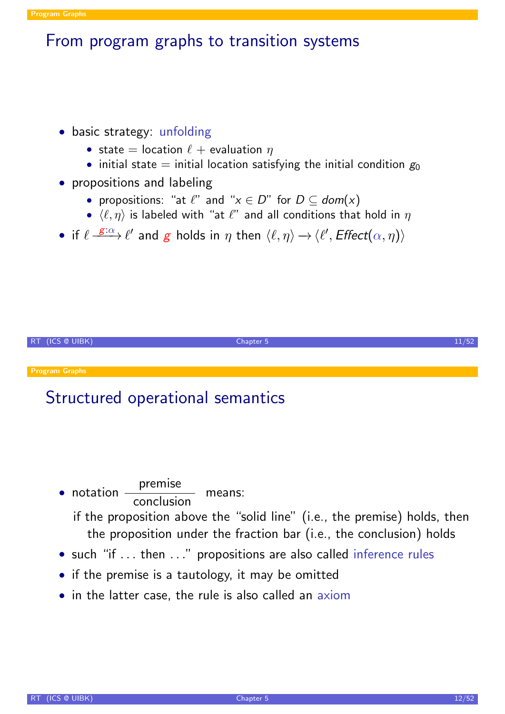### From program graphs to transition systems

#### • basic strategy: unfolding

- state = location  $\ell$  + evaluation  $\eta$
- initial state = initial location satisfying the initial condition  $g_0$

#### • propositions and labeling

- propositions: "at  $\ell$ " and " $x \in D$ " for  $D \subset dom(x)$
- $\langle \ell, \eta \rangle$  is labeled with "at  $\ell$ " and all conditions that hold in  $\eta$
- if  $\ell \stackrel{\mathcal{E}: \alpha}{\longrightarrow} \ell'$  and  $\mathcal{E}$  holds in  $\eta$  then  $\langle \ell, \eta \rangle \rightarrow \langle \ell', \mathit{Effect}(\alpha, \eta) \rangle$



## Structured operational semantics

- notation  $\rule{1em}{0.15mm}$  notation  $\rule{1em}{0.15mm}$ premise means: if the proposition above the "solid line" (i.e., the premise) holds, then the proposition under the fraction bar (i.e., the conclusion) holds
- such "if ... then ..." propositions are also called inference rules
- if the premise is a tautology, it may be omitted
- in the latter case, the rule is also called an axiom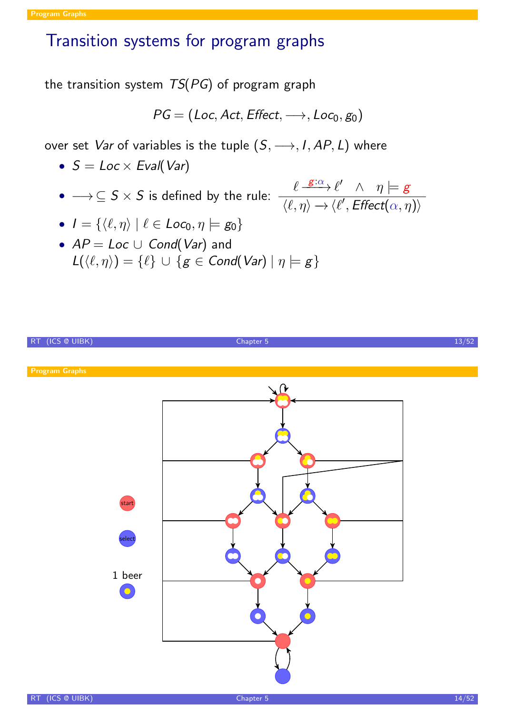# Transition systems for program graphs

the transition system  $TS(PG)$  of program graph

$$
PG = (Loc, Act, Effect, \longrightarrow, Loc_0, g_0)
$$

over set Var of variables is the tuple  $(S, \longrightarrow, I, AP, L)$  where

- $S = Loc \times Eval(Var)$
- $\bullet \longrightarrow \subseteq S \times S$  is defined by the rule:  $\frac{\ell \stackrel{E:\alpha}{\longrightarrow} \ell' \quad \wedge \quad \eta \models g}{\ell \cdot \ell' \quad \wedge \quad \eta \models g}$  $\overline{\langle \ell, \eta \rangle \rightarrow \langle \ell', \mathit{Effect}(\alpha, \eta) \rangle}$

• 
$$
I = \{ \langle \ell, \eta \rangle \mid \ell \in Loc_0, \eta \models g_0 \}
$$

•  $AP = Loc \cup Cond(Var)$  and  $L(\langle \ell, \eta \rangle) = {\ell} \cup {g \in Cond(Var) | \eta \models g}$ 

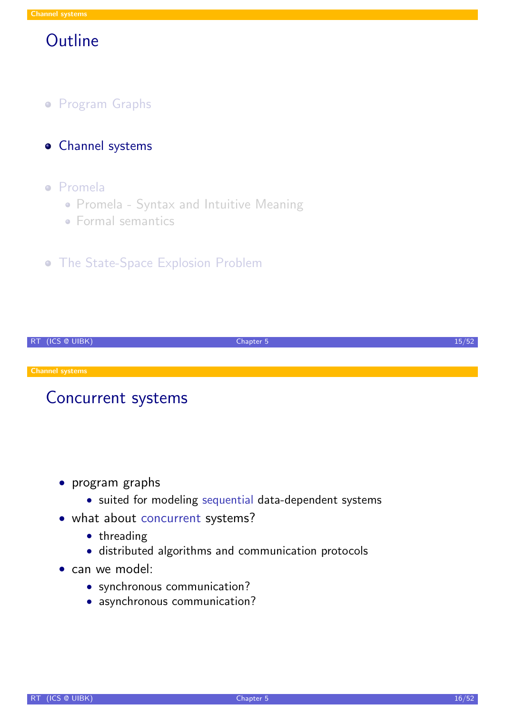## **Outline**

- **Program Graphs**
- **o** Channel systems

#### Promela

- Promela Syntax and Intuitive Meaning
- **Formal semantics**
- **The State-Space Explosion Problem**

| RT (ICS @ UIBK)        | Chapter 5 |  |
|------------------------|-----------|--|
|                        |           |  |
| <b>Channel systems</b> |           |  |
|                        |           |  |

## Concurrent systems

- program graphs
	- suited for modeling sequential data-dependent systems
- what about concurrent systems?
	- threading
	- distributed algorithms and communication protocols
- <span id="page-7-0"></span>• [can](#page-7-0) we model:
	- synchronous communication?
	- asynchronous communication?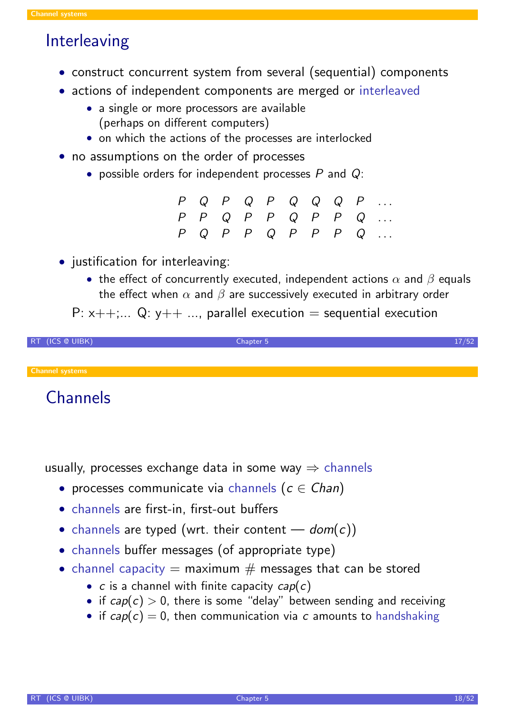## Interleaving

- construct concurrent system from several (sequential) components
- actions of independent components are merged or interleaved
	- a single or more processors are available (perhaps on different computers)
	- on which the actions of the processes are interlocked
- no assumptions on the order of processes
	- possible orders for independent processes  $P$  and  $Q$ :

|  |  |  |  | $P Q P Q P Q Q Q Q P $                                                           |
|--|--|--|--|----------------------------------------------------------------------------------|
|  |  |  |  | $P \quad P \quad Q \quad P \quad P \quad Q \quad P \quad P \quad Q \quad \ldots$ |
|  |  |  |  | $P Q P P Q P P P P Q $                                                           |

- justification for interleaving:
	- the effect of concurrently executed, independent actions  $\alpha$  and  $\beta$  equals the effect when  $\alpha$  and  $\beta$  are successively executed in arbitrary order

#### P:  $x++$ ;... Q:  $y++$  ..., parallel execution = sequential execution



Channel systems

**Channels** 

usually, processes exchange data in some way  $\Rightarrow$  channels

- processes communicate via channels ( $c \in Chan$ )
- channels are first-in, first-out buffers
- channels are typed (wrt. their content  $-\textit{dom}(c)$ )
- channels buffer messages (of appropriate type)
- channel capacity  $=$  maximum  $#$  messages that can be stored
	- $c$  is a channel with finite capacity  $cap(c)$
	- if  $cap(c) > 0$ , there is some "delay" between sending and receiving
	- if  $cap(c) = 0$ , then communication via c amounts to handshaking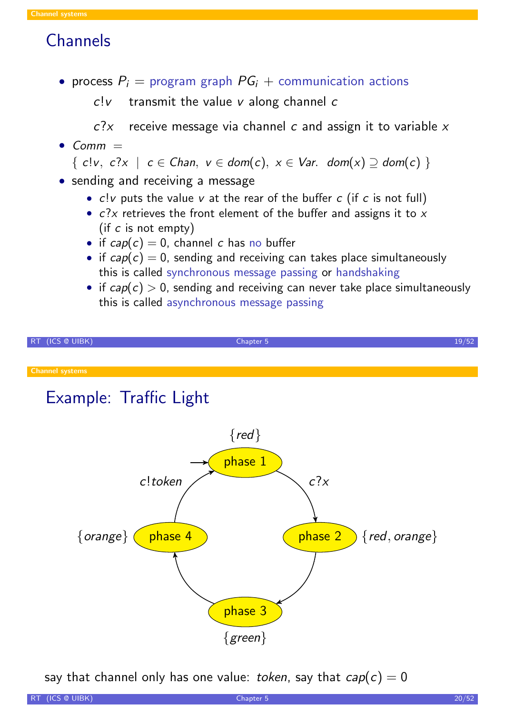## **Channels**

• process  $P_i$  = program graph  $PG_i$  + communication actions

 $c!v$  transmit the value v along channel c

 $c$ ? $x$  receive message via channel c and assign it to variable x

• Comm  $=$ 

$$
\{ \; cl \, v, \; c?x \; \mid \; c \in Chan, \; v \in dom(c), \; x \in Var. \; dom(x) \supseteq dom(c) \; \}
$$

- sending and receiving a message
	- $c!v$  puts the value  $v$  at the rear of the buffer  $c$  (if  $c$  is not full)
	- $c$ ?x retrieves the front element of the buffer and assigns it to  $x$ (if  $c$  is not empty)
	- if  $cap(c) = 0$ , channel c has no buffer
	- if  $cap(c) = 0$ , sending and receiving can takes place simultaneously this is called synchronous message passing or handshaking
	- if  $cap(c) > 0$ , sending and receiving can never take place simultaneously this is called asynchronous message passing



say that channel only has one value: token, say that  $cap(c) = 0$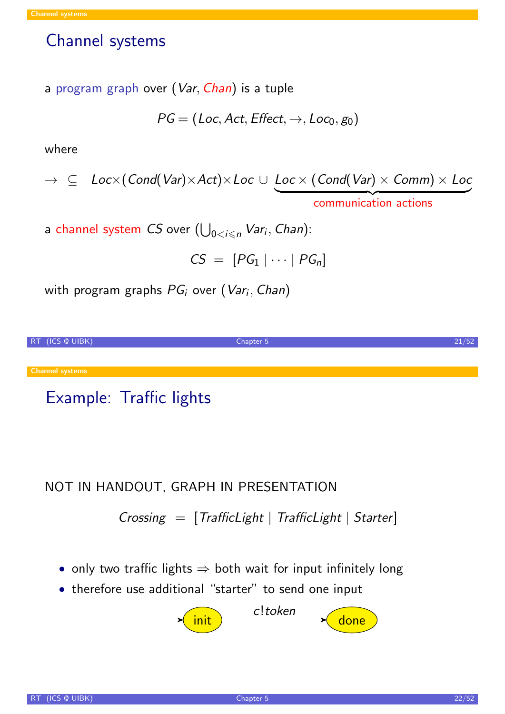### Channel systems

a program graph over (Var, Chan) is a tuple

$$
\mathit{PG} = (\mathit{Loc}, \mathit{Act}, \mathit{Effect}, \rightarrow, \mathit{Loc}_0, g_0)
$$

where

$$
\rightarrow \subseteq \text{Loc}\times(\text{Cond}(\text{Var})\times \text{Act})\times \text{Loc} \cup \underbrace{\text{Loc}\times(\text{Cond}(\text{Var})\times \text{Comm})\times \text{Loc}}_{\text{communication actions}}
$$

a channel system  $CS$  over  $(\bigcup_{0 < i \leqslant n} {\mathit{Var}}_i,$  Chan):

 $CS = [PG_1 | \cdots | PG_n]$ 

with program graphs  $PG_{i}$  over  $(\mathit{Var}_{i}, \mathit{Chan})$ 



# Example: Traffic lights

### NOT IN HANDOUT, GRAPH IN PRESENTATION

### $Crossing = [TrafficLight \mid TrafficLight \mid Starter]$

- only two traffic lights  $\Rightarrow$  both wait for input infinitely long
- therefore use additional "starter" to send one input

$$
\longrightarrow \boxed{\mathsf{init}} \qquad \qquad \xrightarrow{\mathsf{c}! \mathsf{token}} \qquad \qquad \text{done}
$$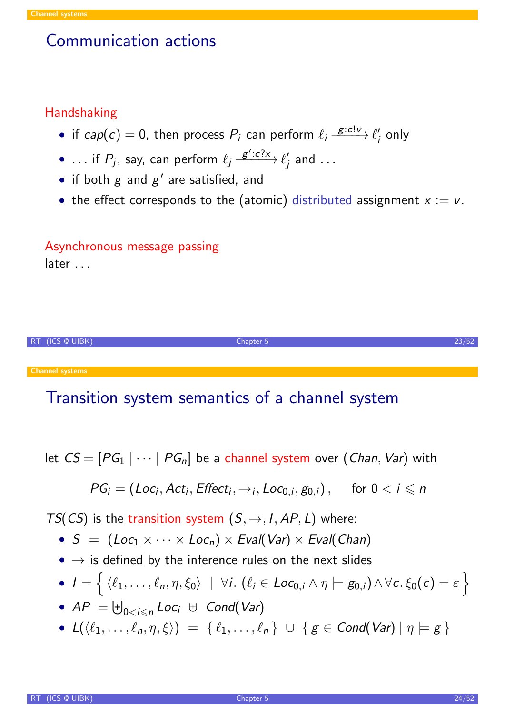### Communication actions

### Handshaking

- if  $cap(c) = 0$ , then process  $P_i$  can perform  $\ell_i \xrightarrow{g:c!\nu} \ell'_i$  $_{i}^{\prime}$  only
- ... if  $P_j$ , say, can perform  $\ell_j \stackrel{g': c?x}{\longrightarrow} \ell'_j$  $_j'$  and  $\ldots$
- if both  $g$  and  $g'$  are satisfied, and
- the effect corresponds to the (atomic) distributed assignment  $x := v$ .

### Asynchronous message passing later . . .



# Transition system semantics of a channel system

let 
$$
CS = [PG_1 | \cdots | PG_n]
$$
 be a channel system over (*Chan, Var*) with

$$
PG_i = (Loc_i, Act_i, Effect_i, \rightarrow_i, Loc_{0,i}, g_{0,i}), \text{ for } 0 < i \leq n
$$

TS(CS) is the transition system  $(S, \rightarrow, I, AP, L)$  where:

- $S = (Loc_1 \times \cdots \times Loc_n) \times eval(Var) \times eval(Chan)$
- $\bullet \rightarrow$  is defined by the inference rules on the next slides

• 
$$
I = \{ \langle \ell_1, \ldots, \ell_n, \eta, \xi_0 \rangle \mid \forall i. (\ell_i \in Loc_{0,i} \land \eta \models g_{0,i}) \land \forall c. \xi_0(c) = \varepsilon \}
$$

- $AP = \biguplus_{0 < i \leqslant n} Loc_i \ \uplus \ Cond(Var)$
- $L({\langle \ell_1, \ldots, \ell_n, \eta, \xi \rangle}) = {\{\ell_1, \ldots, \ell_n\}} \cup {\{ g \in Cond(Var) | \eta \models g \}}$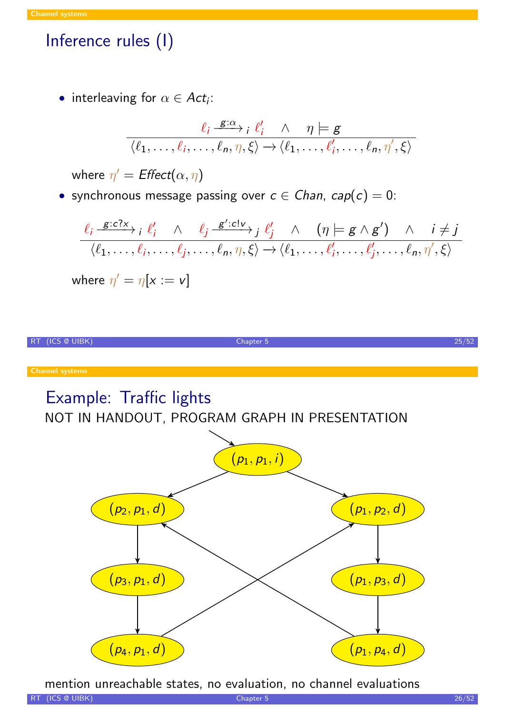# Inference rules (I)

• interleaving for  $\alpha \in Act_i$ :

$$
\frac{\ell_i \xrightarrow{g:\alpha} \ell_i \wedge \eta \models g}{\langle \ell_1, \ldots, \ell_i, \ldots, \ell_n, \eta, \xi \rangle \rightarrow \langle \ell_1, \ldots, \ell'_i, \ldots, \ell_n, \eta', \xi \rangle}
$$

where  $\eta' = \text{Effect}(\alpha, \eta)$ 

• synchronous message passing over  $c \in Chan$ ,  $cap(c) = 0$ :

$$
\frac{\ell_i \xrightarrow{g:c?x} i \ell'_i \wedge \ell_j \xrightarrow{g':c!\nu} j \ell'_j \wedge (\eta \models g \wedge g') \wedge i \neq j}{\langle \ell_1, \ldots, \ell_i, \ldots, \ell_j, \ldots, \ell_n, \eta, \xi \rangle \rightarrow \langle \ell_1, \ldots, \ell'_i, \ldots, \ell'_j, \ldots, \ell_n, \eta', \xi \rangle}
$$

where 
$$
\eta' = \eta[x := v]
$$

RT (ICS @ UIBK) 25/52

# Example: Traffic lights

NOT IN HANDOUT, PROGRAM GRAPH IN PRESENTATION



mention unreachable states, no evaluation, no channel evaluations

RT (ICS @ UIBK) 26/52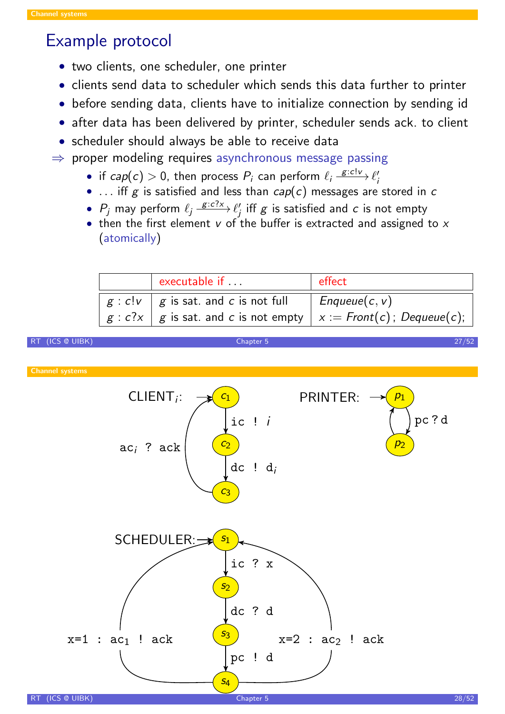### Example protocol

- two clients, one scheduler, one printer
- clients send data to scheduler which sends this data further to printer
- before sending data, clients have to initialize connection by sending id
- after data has been delivered by printer, scheduler sends ack. to client
- scheduler should always be able to receive data
- $\Rightarrow$  proper modeling requires asynchronous message passing
	- if  $cap(c) > 0$ , then process  $P_i$  can perform  $\ell_i \xrightarrow{g: c!v} \ell'_i$ i
	- ... iff g is satisfied and less than  $cap(c)$  messages are stored in c
	- $\bullet$   $P_j$  may perform  $\ell_j \xrightarrow{g:c?x} \ell'_j$  $_j^\prime$  iff  $\boldsymbol{\mathcal{g}}$  is satisfied and  $\boldsymbol{\mathcal{c}}$  is not empty
	- then the first element  $v$  of the buffer is extracted and assigned to  $x$ (atomically)

| executable if                                                                 | effect          |  |  |
|-------------------------------------------------------------------------------|-----------------|--|--|
| $g : c!v \mid g$ is sat. and c is not full                                    | $Enqueue(c, v)$ |  |  |
| $g : c?x \mid g$ is sat. and c is not empty $\mid x :=$ Front(c); Dequeue(c); |                 |  |  |

RT (ICS @ UIBK) 27/52

Channel systems

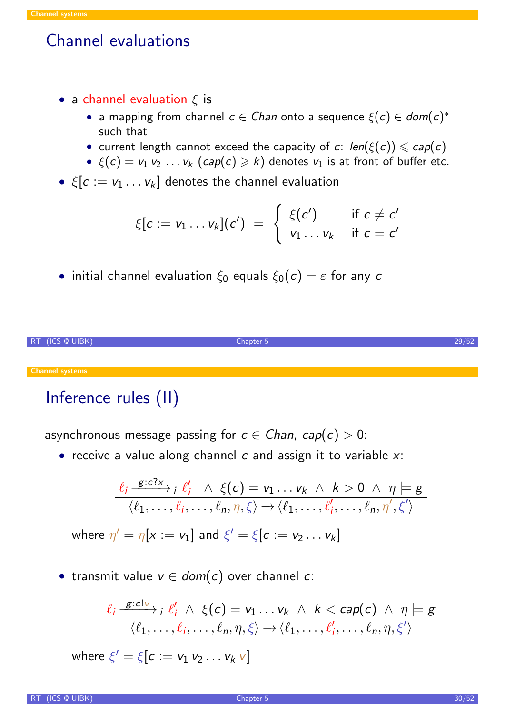## Channel evaluations

- a channel evaluation  $\xi$  is
	- a mapping from channel  $c \in \mathcal{C}$  han onto a sequence  $\xi(c) \in \mathcal{C}$ such that
	- current length cannot exceed the capacity of c:  $len(\xi(c)) \le cap(c)$
	- $\xi(c) = v_1 v_2 ... v_k$   $(cap(c) \ge k)$  denotes  $v_1$  is at front of buffer etc.
- $\xi[c := v_1 \ldots v_k]$  denotes the channel evaluation

$$
\xi[c := v_1 \dots v_k](c') = \begin{cases} \xi(c') & \text{if } c \neq c' \\ v_1 \dots v_k & \text{if } c = c' \end{cases}
$$

 $\bullet\,$  initial channel evaluation  $\xi_0$  equals  $\xi_0(c)=\varepsilon$  for any  $c$ 



# Inference rules (II)

Channel systems

asynchronous message passing for  $c \in Chan$ ,  $cap(c) > 0$ :

• receive a value along channel  $c$  and assign it to variable  $x$ :

$$
\frac{\ell_i \xrightarrow{g:c?x} i \ell'_i \wedge \xi(c) = v_1 \dots v_k \wedge k > 0 \wedge \eta \models g}{\langle \ell_1, \dots, \ell_i, \dots, \ell_n, \eta, \xi \rangle \rightarrow \langle \ell_1, \dots, \ell'_i, \dots, \ell_n, \eta', \xi' \rangle}
$$

where  $\eta'=\eta[x:=\mathsf{v}_1]$  and  $\xi'=\xi[\mathsf{c}:=\mathsf{v}_2\dots\mathsf{v}_k]$ 

• transmit value  $v \in dom(c)$  over channel c:

$$
\frac{\ell_i \xrightarrow{g:c|_V} i \ell'_i \wedge \xi(c) = v_1 \dots v_k \wedge k < cap(c) \wedge \eta \models g}{\langle \ell_1, \dots, \ell_i, \dots, \ell_n, \eta, \xi \rangle \rightarrow \langle \ell_1, \dots, \ell'_i, \dots, \ell_n, \eta, \xi' \rangle}
$$

where  $\xi' = \xi[\textit{c} := \textit{v}_1~\textit{v}_2 \ldots \textit{v}_k~\textit{v}]$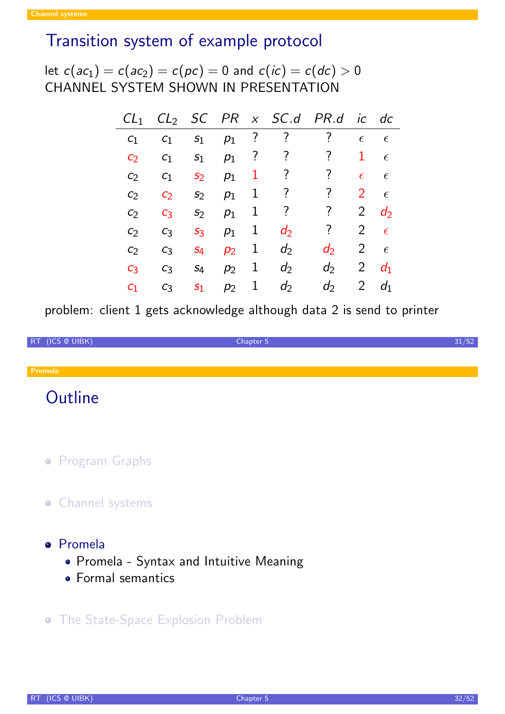## Transition system of example protocol

let  $c(ac_1)=c(ac_2)=c(pc)=0$  and  $c(ic)=c(dc)>0$ CHANNEL SYSTEM SHOWN IN PRESENTATION

| CL <sub>1</sub> |                |                |       |                | $CL_2$ SC PR $x$ SC.d PR.d |                          | İС             | $d\mathcal{C}$ |
|-----------------|----------------|----------------|-------|----------------|----------------------------|--------------------------|----------------|----------------|
| C <sub>1</sub>  | C <sub>1</sub> | $S_1$          | $p_1$ | $\cdot$        | $\overline{\mathcal{E}}$   | ?                        | $\epsilon$     | $\epsilon$     |
| C <sub>2</sub>  | C <sub>1</sub> | S <sub>1</sub> | $p_1$ | $\overline{?}$ | ?                          | ?                        | 1              | $\epsilon$     |
| C <sub>2</sub>  | C <sub>1</sub> | S <sub>2</sub> | $p_1$ | 1              | ?                          | $\overline{\mathcal{E}}$ | $\epsilon$     | $\epsilon$     |
| C <sub>2</sub>  | C <sub>2</sub> | S <sub>2</sub> | $p_1$ | 1              | ?                          | ?                        | $\overline{2}$ | $\epsilon$     |
| C <sub>2</sub>  | C <sub>3</sub> | S <sub>2</sub> | $p_1$ | 1              | ?                          | ?                        | $\overline{2}$ | $d_2$          |
| C <sub>2</sub>  | $C_3$          | S <sub>3</sub> | $p_1$ | 1              | $d_2$                      | ?                        | 2              | $\epsilon$     |
| C <sub>2</sub>  | $C_3$          | $S_4$          | $p_2$ | 1              | $d_2$                      | $d_2$                    | $\overline{2}$ | $\epsilon$     |
| C <sub>3</sub>  | $C_3$          | $S_4$          | $p_2$ | 1              | $d_2$                      | $d_2$                    | $\overline{2}$ | $d_1$          |
| C <sub>1</sub>  | C <sub>3</sub> | S <sub>1</sub> | $p_2$ | 1              | $d_2$                      | $d_2$                    | $\overline{2}$ | d <sub>1</sub> |

problem: client 1 gets acknowledge although data 2 is send to printer

RT (ICS @ UIBK) 31/52

# **Outline**

- **Program Graphs**
- **•** Channel systems
- [Prom](#page-2-0)ela
	- Promela Syntax and Intuitive Meaning
	- **[Fo](#page-7-0)rmal semantics**
- **[The State-Space Explos](#page-16-0)ion Problem**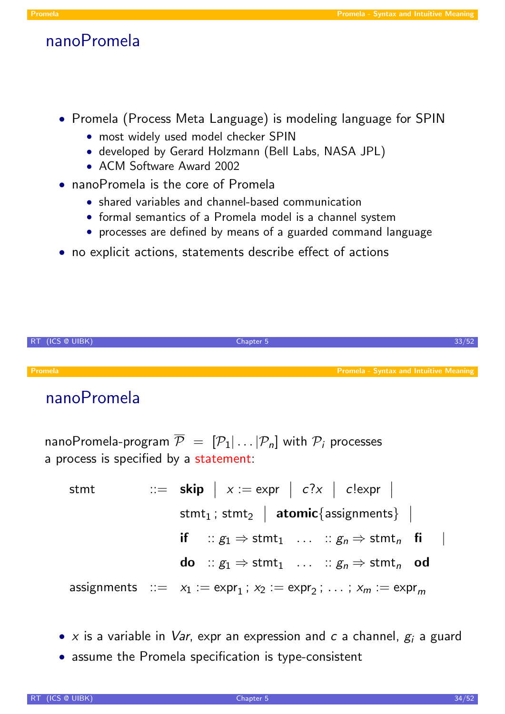### nanoPromela

- Promela (Process Meta Language) is modeling language for SPIN
	- most widely used model checker SPIN
	- developed by Gerard Holzmann (Bell Labs, NASA JPL)
	- ACM Software Award 2002
- nanoPromela is the core of Promela
	- shared variables and channel-based communication
	- formal semantics of a Promela model is a channel system
	- processes are defined by means of a guarded command language
- no explicit actions, statements describe effect of actions



# nanoPromela

nanoPromela-program  $\overline{P} = [P_1 | ... | P_n]$  with  $P_i$  processes a process is specified by a statement:

\n
$$
\begin{aligned}\n &\text{stmt} & \quad ::= \text{skip} \mid x := \text{expr} \mid c?x \mid c! \text{expr} \mid \\
 &\text{stmt}_1; \text{stm}_2 \mid \text{atomic} \{\text{assignments}\} \mid \\
 &\text{if} \quad ::= g_1 \Rightarrow \text{stmt}_1 \quad \dots \quad ::= g_n \Rightarrow \text{stmt}_n \quad \text{fi} \quad \mid \\
 &\text{do} \quad ::= g_1 \Rightarrow \text{stmt}_1 \quad \dots \quad ::= g_n \Rightarrow \text{stmt}_n \quad \text{od} \\
 &\text{assignments} \quad ::= x_1 := \text{expr}_1; x_2 := \text{expr}_2; \quad \dots; x_m := \text{expr}_m\n \end{aligned}
$$
\n

- x is a variable in *Var*, expr an expression and c a channel,  $g_i$  a guard
- <span id="page-16-0"></span>• assume the Promela specification is type-consistent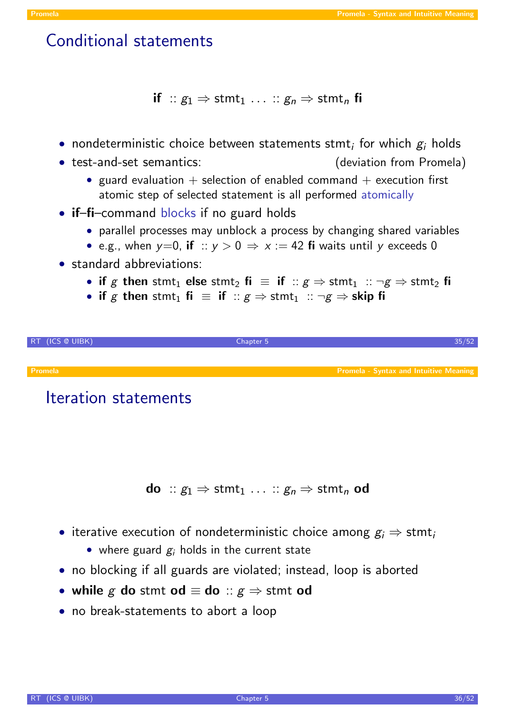## Conditional statements

if ::  $g_1 \Rightarrow$  stmt<sub>1</sub> ... ::  $g_n \Rightarrow$  stmt<sub>n</sub> fi

- nondeterministic choice between statements stmt; for which  $g_i$  holds
- test-and-set semantics: (deviation from Promela)
	- guard evaluation  $+$  selection of enabled command  $+$  execution first atomic step of selected statement is all performed atomically
- if-fi-command blocks if no guard holds
	- parallel processes may unblock a process by changing shared variables
	- e.g., when  $y=0$ , if ::  $y>0 \Rightarrow x:=42$  fi waits until y exceeds 0
- standard abbreviations:
	- if g then stmt<sub>1</sub> else stmt<sub>2</sub> fi  $\equiv$  if  $\therefore g \Rightarrow$  stmt<sub>1</sub>  $\therefore \neg g \Rightarrow$  stmt<sub>2</sub> fi
	- if g then stmt<sub>1</sub> fi  $\equiv$  if  $\therefore g \Rightarrow$  stmt<sub>1</sub>  $\therefore \neg g \Rightarrow$  skip fi



### Iteration statements

- **do** ::  $g_1 \Rightarrow$  [stmt](#page-16-0)<sub>1</sub> ... ::  $g_n \Rightarrow$  stmt<sub>n</sub> od
- iterative execution of nondeterministic choice among  $g_i \Rightarrow$  stmt<sub>i</sub>
	- where guard  $g_i$  holds in the current state
- no blocking if all guards are violated; instead, loop is aborted
- while g do stmt od  $\equiv$  do ::  $g \Rightarrow$  stmt od
- no break-statements to abort a loop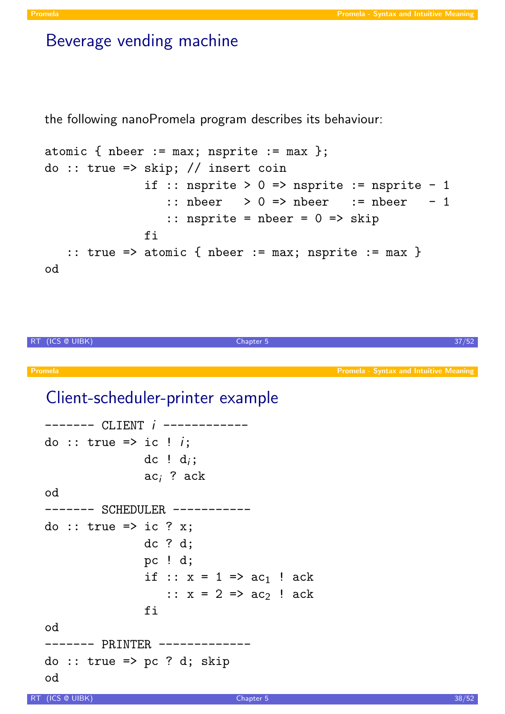### Beverage vending machine

the following nanoPromela program describes its behaviour:

```
atomic { nbeer := max; nsprite := max };
do :: true => skip; // insert coin
               if :: nsprite > 0 => nsprite := nsprite - 1
                   \therefore nbeer > 0 => nbeer \therefore nbeer - 1
                  \therefore nsprite = nbeer = 0 => skip
               fi
   :: true => atomic { nbeer := max; nsprite := max }
od
```
RT (ICS @ UIBK) 37/52

## Client-scheduler-printer example

```
------- CLIENT i ------------
do :: true => ic ! i;
                dc ! d_i;
                ac<sub>i</sub> ? ack
od
------- SCHEDULER -----------
do :: true => ic ? x;
                dc ? d;
                pc ! d;
                if :: x = 1 \Rightarrow ac_1 ! ack
                    :: x = 2 \Rightarrow ac_2 ! ack
                fi
od
------- PRINTER -------------
do :: true => pc ? d; skip
od
```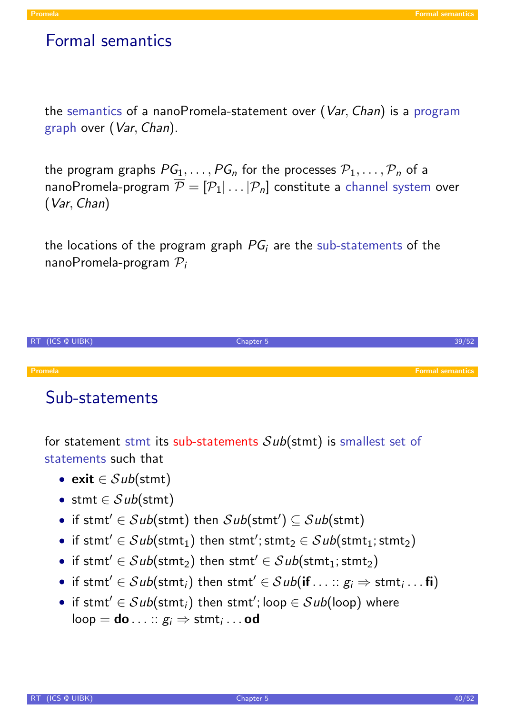### Formal semantics

the semantics of a nanoPromela-statement over (Var, Chan) is a program graph over (Var, Chan).

the program graphs  $PG_1, \ldots, PG_n$  for the processes  $P_1, \ldots, P_n$  of a nanoPromela-program  $\overline{\mathcal{P}} = [\mathcal{P}_1 | \dots | \mathcal{P}_n]$  constitute a channel system over (Var, Chan)

the locations of the program graph  $PG<sub>i</sub>$  are the sub-statements of the nanoPromela-program  $P_i$ 



### Sub-statements

for statement stmt its sub-statements  $Sub(\text{stmt})$  is smallest set of statements such that

- exit  $\in Sub({\mathsf{stmt}})$
- stmt  $\in Sub({\mathsf{stmt}})$
- if stmt'  $\in$  Sub(stmt) then Sub(stmt')  $\subseteq$  Sub(stmt)
- if stmt'  $\in$   $Sub({\sf{stmt}}_1)$  then stmt';  ${\sf{stmt}}_2 \in Sub({\sf{stmt}}_1; {\sf{stmt}}_2)$
- if stmt $'\in Sub({\operatorname{stmt}}_2)$  then  ${\operatorname{stmt}}'\in Sub({\operatorname{stmt}}_1;{\operatorname{stmt}}_2)$
- if stmt'  $\in$   $Sub({\sf{stmt}}_i)$  then stmt'  $\in$   $Sub({\sf{if}} \dots :: g_i \Rightarrow {\sf{stmt}}_i \dots {\sf{fi}})$
- <span id="page-19-0"></span>• if stmt $'\in Sub({\sf{stmt}}_i)$  then stmt $';$  loop  $\in Sub({\sf loop})$  where  $\mathsf{loop} = \mathsf{do} \ldots :: g_i \Rightarrow \mathsf{stmt}_i \ldots \mathsf{od}$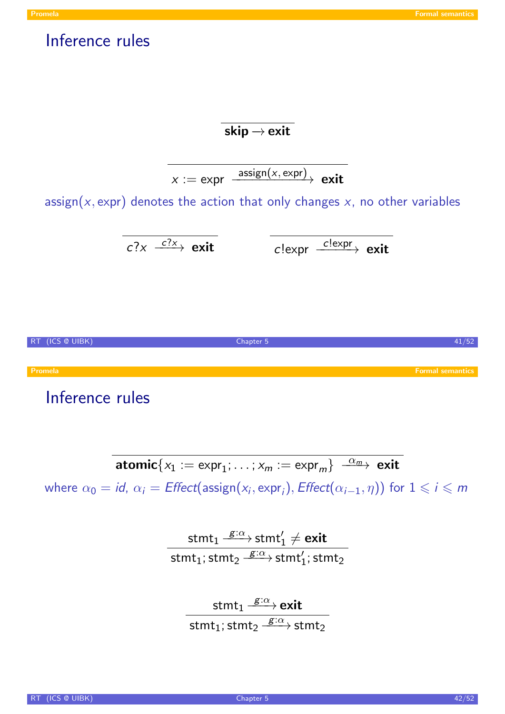### Inference rules

### $\overline{\textsf{skip}} \rightarrow \textsf{exit}$

$$
x := \text{expr} \xrightarrow{\text{assign}(x, \text{expr})} \text{exit}
$$

assign( $x$ , expr) denotes the action that only changes  $x$ , no other variables

$$
c?\times
$$
  $\xrightarrow{c?x}$  exit  $c!\text{expr} \xrightarrow{c!\text{expr}}$  exit



## Inference rules

 $\text{atomic}\{x_1 := \text{expr}_1; \ldots; x_m := \text{expr}_m\} \xrightarrow{\alpha_m} \text{exit}$ where  $\alpha_0 = \mathit{id}$ ,  $\alpha_i = \mathit{Effect}(\mathsf{assign}(x_i, \mathsf{expr}_i), \mathit{Effect}(\alpha_{i-1}, \eta))$  $\alpha_i = \mathit{Effect}(\mathsf{assign}(x_i, \mathsf{expr}_i), \mathit{Effect}(\alpha_{i-1}, \eta))$  $\alpha_i = \mathit{Effect}(\mathsf{assign}(x_i, \mathsf{expr}_i), \mathit{Effect}(\alpha_{i-1}, \eta))$  for  $1 \leqslant i \leqslant m$ 

$$
\frac{\text{stmt}_1 \stackrel{g:\alpha}{\longrightarrow} \text{stmt}_1' \neq \text{exit}}{\text{stmt}_1; \text{stmt}_2 \stackrel{g:\alpha}{\longrightarrow} \text{stmt}_1'; \text{stmt}_2}
$$

stmt $_1 \stackrel{g:\alpha}{\longrightarrow}$ exit  ${\sf stmt}_1; {\sf stmt}_2 \stackrel{g:\alpha}{\longrightarrow} {\sf stmt}_2$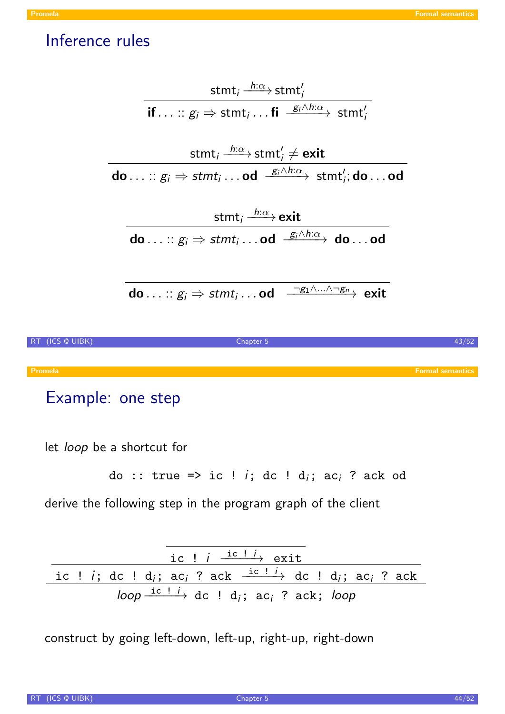### Inference rules



Promela Formal semantics and the contract of the contract of the contract of the contract of the contract of the contract of the contract of the contract of the contract of the contract of the contract of the contract of t

## Example: one step

let loop be a shortcut for

$$
do :: true => ic ! i; dc ! di; aci ? ack od
$$

derive the following step in the program graph of the client

| ic ! $i \xrightarrow{\text{ic} ! } i$ exit                                                                                                           |
|------------------------------------------------------------------------------------------------------------------------------------------------------|
| ic ! <i>i</i> ; dc ! d <sub><i>i</i></sub> ; ac <sub><i>i</i></sub> ? ack $\frac{ic i}{ }$ dc ! d <sub><i>i</i></sub> ; ac <sub><i>i</i></sub> ? ack |
| loop $\frac{ic i}{i}$ dc ! d <sub>i</sub> ; ac <sub>i</sub> ? ack; loop                                                                              |

construct by going left-down, left-up, right-up, right-down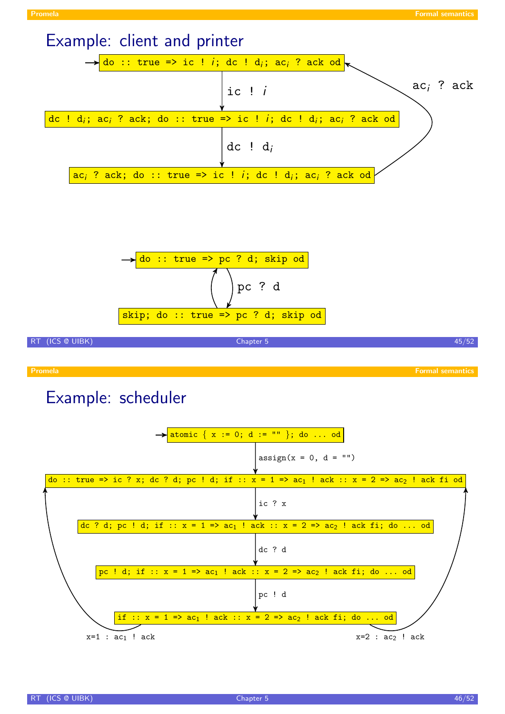



 $\text{assign}(x = 0, d = "")$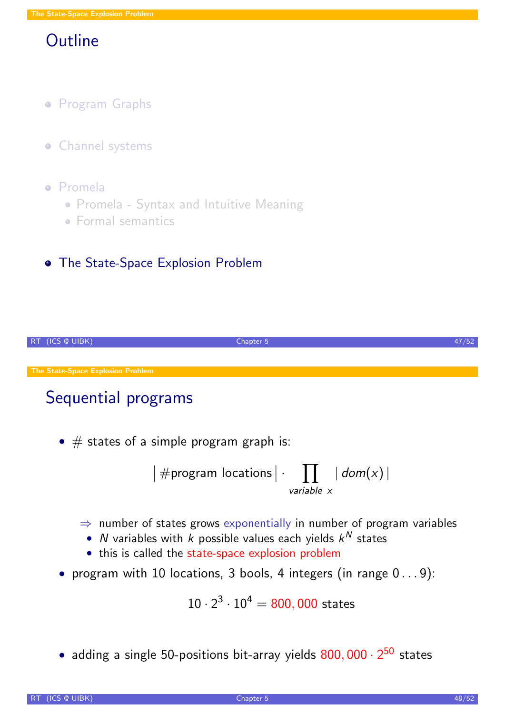# **Outline**

- **Program Graphs**
- **Channel systems**
- Promela
	- Promela Syntax and Intuitive Meaning
	- **Formal semantics**

### **• The State-Space Explosion Problem**



# Sequential programs

•  $#$  states of a simple program graph is:

$$
|\# \text{program locations} | \cdot \prod_{\text{variable } x} | \text{ dom}(x) |
$$

- $\Rightarrow$  number of states grows exponentially in number of program variables
	- $N$  variables with  $k$  possible values each yields  $k^N$  states
	- this is called the state-space explosion problem
- [pro](#page-7-0)gram with 10 locations, 3 bools, 4 integers (in range 0 . . . 9):

<span id="page-23-0"></span>
$$
10 \cdot 2^3 \cdot 10^4 = 800,000 \text{ states}
$$

• [adding a single 5](#page-23-0)0-positions bit-array yields  $800,000 \cdot 2^{50}$  states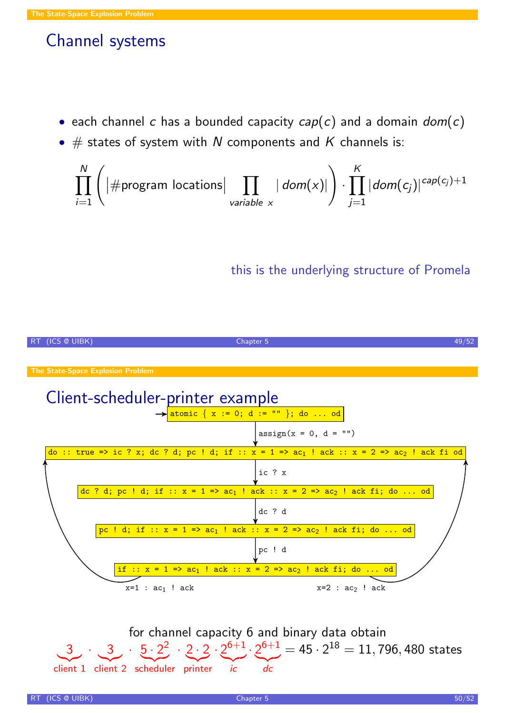## Channel systems

- each channel c has a bounded capacity  $cap(c)$  and a domain  $dom(c)$
- $\#$  states of system with N components and K channels is:

$$
\prod_{i=1}^{N} \left( \left| \# \text{program locations} \right| \prod_{\text{variable } x} | \text{ dom}(x)| \right) \cdot \prod_{j=1}^{K} |\text{dom}(c_j)|^{cap(c_j)+1}
$$

this is the underlying structure of Promela



for channel capacity 6 and binary data obtain 3 client 1 client 2 scheduler printer  $\cdot$  3  $\cdot$  5  $\cdot$  2 2  $\cdot$  2  $\cdot$  2  $\cdot$  2<sup>6+1</sup>  $\cdot$  2<sup>6+1</sup>  $=$  45  $\cdot$  2<sup>18</sup>  $=$  11, 796, 480 states  $\sum_{i \in \mathbb{Z}}$  $\overline{d}$